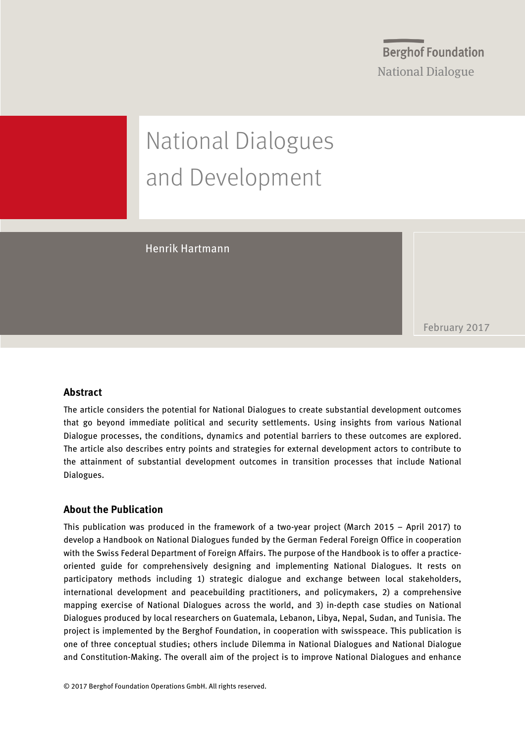**Berghof Foundation** National Dialogue

# National Dialogues and Development

Henrik Hartmann

February 2017

### **Abstract**

The article considers the potential for National Dialogues to create substantial development outcomes that go beyond immediate political and security settlements. Using insights from various National Dialogue processes, the conditions, dynamics and potential barriers to these outcomes are explored. The article also describes entry points and strategies for external development actors to contribute to the attainment of substantial development outcomes in transition processes that include National Dialogues.

### **About the Publication**

This publication was produced in the framework of a two-year project (March 2015 – April 2017) to develop a Handbook on National Dialogues funded by the German Federal Foreign Office in cooperation with the Swiss Federal Department of Foreign Affairs. The purpose of the Handbook is to offer a practiceoriented guide for comprehensively designing and implementing National Dialogues. It rests on participatory methods including 1) strategic dialogue and exchange between local stakeholders, international development and peacebuilding practitioners, and policymakers, 2) a comprehensive mapping exercise of National Dialogues across the world, and 3) in-depth case studies on National Dialogues produced by local researchers on Guatemala, Lebanon, Libya, Nepal, Sudan, and Tunisia. The project is implemented by the Berghof Foundation, in cooperation with swisspeace. This publication is one of three conceptual studies; others include Dilemma in National Dialogues and National Dialogue and Constitution-Making. The overall aim of the project is to improve National Dialogues and enhance

© 2017 Berghof Foundation Operations GmbH. All rights reserved.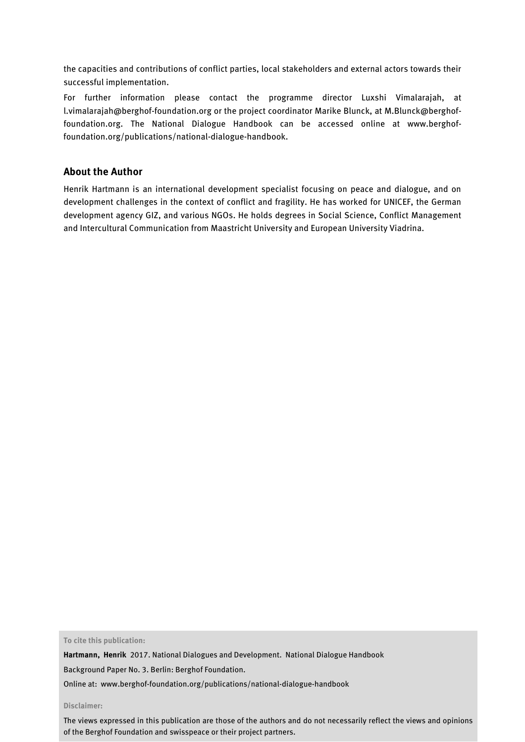the capacities and contributions of conflict parties, local stakeholders and external actors towards their successful implementation.

For further information please contact the programme director Luxshi Vimalarajah, at l.vimalarajah@berghof-foundation.org or the project coordinator Marike Blunck, at M.Blunck@berghoffoundation.org. The National Dialogue Handbook can be accessed online at [www.berghof](http://www.berghof-foundation.org/publications/national-dialogue-handbook)[foundation.org/publications/national-dialogue-handbook.](http://www.berghof-foundation.org/publications/national-dialogue-handbook)

### **About the Author**

Henrik Hartmann is an international development specialist focusing on peace and dialogue, and on development challenges in the context of conflict and fragility. He has worked for UNICEF, the German development agency GIZ, and various NGOs. He holds degrees in Social Science, Conflict Management and Intercultural Communication from Maastricht University and European University Viadrina.

**To cite this publication:**

**Hartmann, Henrik** 2017. National Dialogues and Development. National Dialogue Handbook

Background Paper No. 3. Berlin: Berghof Foundation.

Online at: [www.berghof-foundation.org/publications/national-dialogue-handbook](http://www.berghof-foundation.org/publications/national-dialogue-handbook)

**Disclaimer:**

The views expressed in this publication are those of the authors and do not necessarily reflect the views and opinions of the Berghof Foundation and swisspeace or their project partners.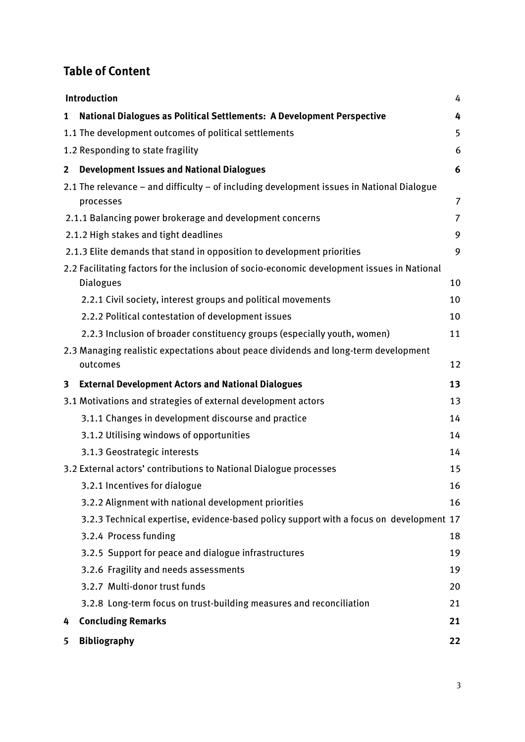### **Table of Content**

|                | Introduction<br>4                                                                                               |                |
|----------------|-----------------------------------------------------------------------------------------------------------------|----------------|
| $\mathbf{1}$   | National Dialogues as Political Settlements: A Development Perspective                                          | 4              |
|                | 1.1 The development outcomes of political settlements                                                           | 5              |
|                | 1.2 Responding to state fragility                                                                               | 6              |
| $\overline{2}$ | <b>Development Issues and National Dialogues</b>                                                                | 6              |
|                | 2.1 The relevance - and difficulty - of including development issues in National Dialogue<br>processes          | $\overline{7}$ |
|                | 2.1.1 Balancing power brokerage and development concerns                                                        | $\overline{7}$ |
|                | 2.1.2 High stakes and tight deadlines                                                                           | 9              |
|                | 2.1.3 Elite demands that stand in opposition to development priorities                                          | 9              |
|                | 2.2 Facilitating factors for the inclusion of socio-economic development issues in National<br><b>Dialogues</b> | 10             |
|                | 2.2.1 Civil society, interest groups and political movements                                                    | 10             |
|                | 2.2.2 Political contestation of development issues                                                              | 10             |
|                | 2.2.3 Inclusion of broader constituency groups (especially youth, women)                                        | 11             |
|                | 2.3 Managing realistic expectations about peace dividends and long-term development<br>outcomes                 | 12             |
| 3              | <b>External Development Actors and National Dialogues</b>                                                       | 13             |
|                | 3.1 Motivations and strategies of external development actors                                                   | 13             |
|                | 3.1.1 Changes in development discourse and practice                                                             | 14             |
|                | 3.1.2 Utilising windows of opportunities                                                                        | 14             |
|                |                                                                                                                 |                |
|                | 3.1.3 Geostrategic interests                                                                                    | 14             |
|                | 3.2 External actors' contributions to National Dialogue processes                                               | 15             |
|                | 3.2.1 Incentives for dialogue                                                                                   | 16             |
|                | 3.2.2 Alignment with national development priorities                                                            | 16             |
|                | 3.2.3 Technical expertise, evidence-based policy support with a focus on development 17                         |                |
|                | 3.2.4 Process funding                                                                                           | 18             |
|                | 3.2.5 Support for peace and dialogue infrastructures                                                            | 19             |
|                | 3.2.6 Fragility and needs assessments                                                                           | 19             |
|                | 3.2.7 Multi-donor trust funds                                                                                   | 20             |
|                | 3.2.8 Long-term focus on trust-building measures and reconciliation                                             | 21             |
| 4              | <b>Concluding Remarks</b>                                                                                       | 21             |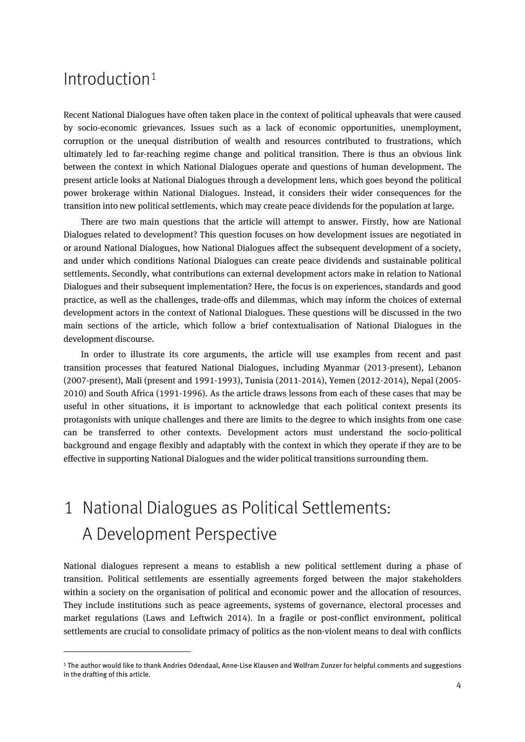### Introduction[1](#page-3-0)

 $\overline{a}$ 

Recent National Dialogues have often taken place in the context of political upheavals that were caused by socio-economic grievances. Issues such as a lack of economic opportunities, unemployment, corruption or the unequal distribution of wealth and resources contributed to frustrations, which ultimately led to far-reaching regime change and political transition. There is thus an obvious link between the context in which National Dialogues operate and questions of human development. The present article looks at National Dialogues through a development lens, which goes beyond the political power brokerage within National Dialogues. Instead, it considers their wider consequences for the transition into new political settlements, which may create peace dividends for the population at large.

There are two main questions that the article will attempt to answer. Firstly, how are National Dialogues related to development? This question focuses on how development issues are negotiated in or around National Dialogues, how National Dialogues affect the subsequent development of a society, and under which conditions National Dialogues can create peace dividends and sustainable political settlements. Secondly, what contributions can external development actors make in relation to National Dialogues and their subsequent implementation? Here, the focus is on experiences, standards and good practice, as well as the challenges, trade-offs and dilemmas, which may inform the choices of external development actors in the context of National Dialogues. These questions will be discussed in the two main sections of the article, which follow a brief contextualisation of National Dialogues in the development discourse.

In order to illustrate its core arguments, the article will use examples from recent and past transition processes that featured National Dialogues, including Myanmar (2013-present), Lebanon (2007-present), Mali (present and 1991-1993), Tunisia (2011-2014), Yemen (2012-2014), Nepal (2005- 2010) and South Africa (1991-1996). As the article draws lessons from each of these cases that may be useful in other situations, it is important to acknowledge that each political context presents its protagonists with unique challenges and there are limits to the degree to which insights from one case can be transferred to other contexts. Development actors must understand the socio-political background and engage flexibly and adaptably with the context in which they operate if they are to be effective in supporting National Dialogues and the wider political transitions surrounding them.

# 1 National Dialogues as Political Settlements: A Development Perspective

National dialogues represent a means to establish a new political settlement during a phase of transition. Political settlements are essentially agreements forged between the major stakeholders within a society on the organisation of political and economic power and the allocation of resources. They include institutions such as peace agreements, systems of governance, electoral processes and market regulations (Laws and Leftwich 2014). In a fragile or post-conflict environment, political settlements are crucial to consolidate primacy of politics as the non-violent means to deal with conflicts

<span id="page-3-0"></span><sup>1</sup> The author would like to thank Andries Odendaal, Anne-Lise Klausen and Wolfram Zunzer for helpful comments and suggestions in the drafting of this article.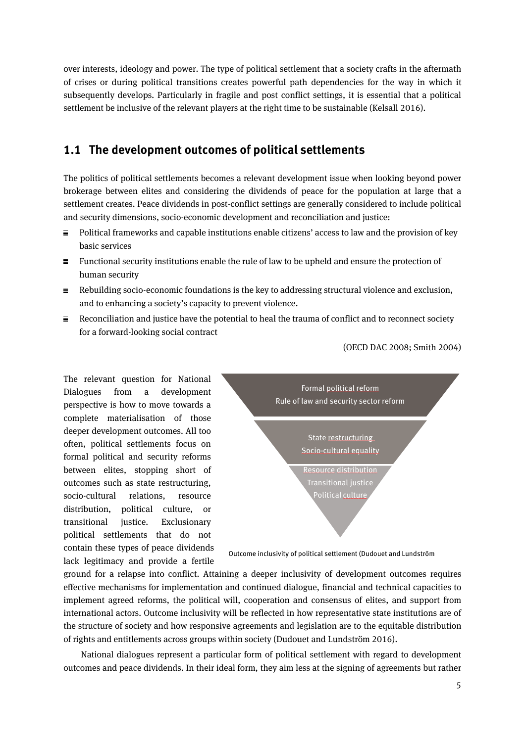over interests, ideology and power. The type of political settlement that a society crafts in the aftermath of crises or during political transitions creates powerful path dependencies for the way in which it subsequently develops. Particularly in fragile and post conflict settings, it is essential that a political settlement be inclusive of the relevant players at the right time to be sustainable (Kelsall 2016).

### **1.1 The development outcomes of political settlements**

The politics of political settlements becomes a relevant development issue when looking beyond power brokerage between elites and considering the dividends of peace for the population at large that a settlement creates. Peace dividends in post-conflict settings are generally considered to include political and security dimensions, socio-economic development and reconciliation and justice:

- $\equiv$ Political frameworks and capable institutions enable citizens' access to law and the provision of key basic services
- $\equiv$  Functional security institutions enable the rule of law to be upheld and ensure the protection of human security
- $\equiv$  Rebuilding socio-economic foundations is the key to addressing structural violence and exclusion, and to enhancing a society's capacity to prevent violence.
- $\equiv$  Reconciliation and justice have the potential to heal the trauma of conflict and to reconnect society for a forward-looking social contract

(OECD DAC 2008; Smith 2004)

The relevant question for National Dialogues from a development perspective is how to move towards a complete materialisation of those deeper development outcomes. All too often, political settlements focus on formal political and security reforms between elites, stopping short of outcomes such as state restructuring, socio-cultural relations, resource distribution, political culture, or transitional justice. Exclusionary political settlements that do not contain these types of peace dividends lack legitimacy and provide a fertile



Outcome inclusivity of political settlement (Dudouet and Lundström

ground for a relapse into conflict. Attaining a deeper inclusivity of development outcomes requires effective mechanisms for implementation and continued dialogue, financial and technical capacities to implement agreed reforms, the political will, cooperation and consensus of elites, and support from international actors. Outcome inclusivity will be reflected in how representative state institutions are of the structure of society and how responsive agreements and legislation are to the equitable distribution of rights and entitlements across groups within society (Dudouet and Lundström 2016).

National dialogues represent a particular form of political settlement with regard to development outcomes and peace dividends. In their ideal form, they aim less at the signing of agreements but rather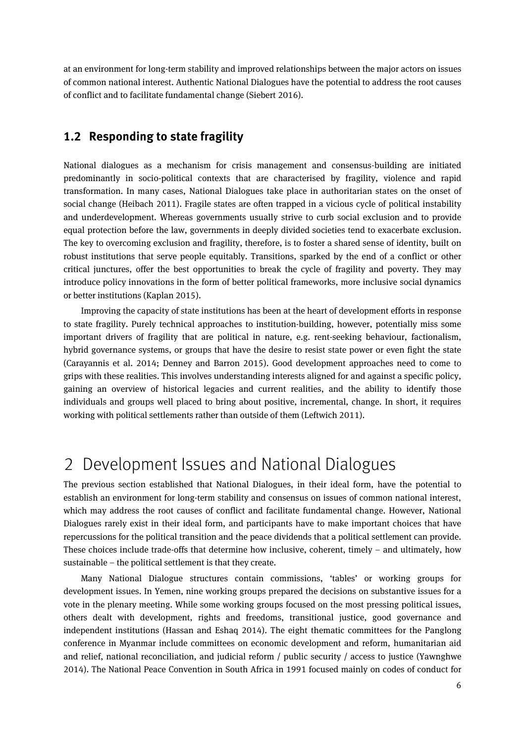at an environment for long-term stability and improved relationships between the major actors on issues of common national interest. Authentic National Dialogues have the potential to address the root causes of conflict and to facilitate fundamental change (Siebert 2016).

### **1.2 Responding to state fragility**

National dialogues as a mechanism for crisis management and consensus-building are initiated predominantly in socio-political contexts that are characterised by fragility, violence and rapid transformation. In many cases, National Dialogues take place in authoritarian states on the onset of social change (Heibach 2011). Fragile states are often trapped in a vicious cycle of political instability and underdevelopment. Whereas governments usually strive to curb social exclusion and to provide equal protection before the law, governments in deeply divided societies tend to exacerbate exclusion. The key to overcoming exclusion and fragility, therefore, is to foster a shared sense of identity, built on robust institutions that serve people equitably. Transitions, sparked by the end of a conflict or other critical junctures, offer the best opportunities to break the cycle of fragility and poverty. They may introduce policy innovations in the form of better political frameworks, more inclusive social dynamics or better institutions (Kaplan 2015).

Improving the capacity of state institutions has been at the heart of development efforts in response to state fragility. Purely technical approaches to institution-building, however, potentially miss some important drivers of fragility that are political in nature, e.g. rent-seeking behaviour, factionalism, hybrid governance systems, or groups that have the desire to resist state power or even fight the state (Carayannis et al. 2014; Denney and Barron 2015). Good development approaches need to come to grips with these realities. This involves understanding interests aligned for and against a specific policy, gaining an overview of historical legacies and current realities, and the ability to identify those individuals and groups well placed to bring about positive, incremental, change. In short, it requires working with political settlements rather than outside of them (Leftwich 2011).

# 2 Development Issues and National Dialogues

The previous section established that National Dialogues, in their ideal form, have the potential to establish an environment for long-term stability and consensus on issues of common national interest, which may address the root causes of conflict and facilitate fundamental change. However, National Dialogues rarely exist in their ideal form, and participants have to make important choices that have repercussions for the political transition and the peace dividends that a political settlement can provide. These choices include trade-offs that determine how inclusive, coherent, timely – and ultimately, how sustainable – the political settlement is that they create.

Many National Dialogue structures contain commissions, 'tables' or working groups for development issues. In Yemen, nine working groups prepared the decisions on substantive issues for a vote in the plenary meeting. While some working groups focused on the most pressing political issues, others dealt with development, rights and freedoms, transitional justice, good governance and independent institutions (Hassan and Eshaq 2014). The eight thematic committees for the Panglong conference in Myanmar include committees on economic development and reform, humanitarian aid and relief, national reconciliation, and judicial reform / public security / access to justice (Yawnghwe 2014). The National Peace Convention in South Africa in 1991 focused mainly on codes of conduct for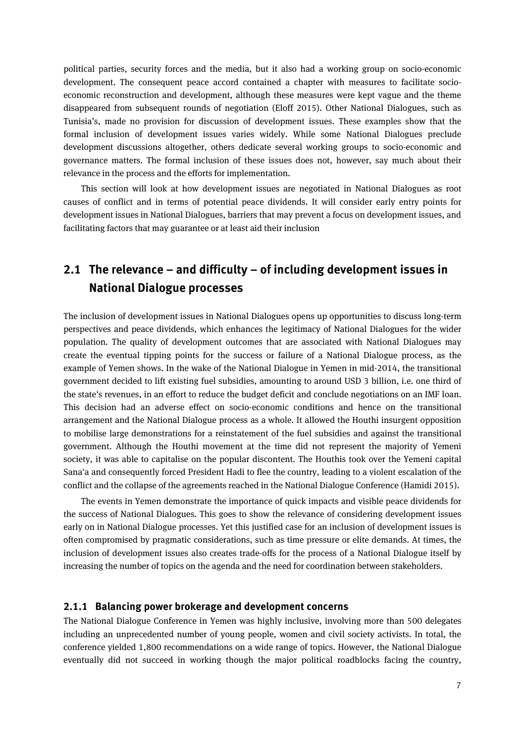political parties, security forces and the media, but it also had a working group on socio-economic development. The consequent peace accord contained a chapter with measures to facilitate socioeconomic reconstruction and development, although these measures were kept vague and the theme disappeared from subsequent rounds of negotiation (Eloff 2015). Other National Dialogues, such as Tunisia's, made no provision for discussion of development issues. These examples show that the formal inclusion of development issues varies widely. While some National Dialogues preclude development discussions altogether, others dedicate several working groups to socio-economic and governance matters. The formal inclusion of these issues does not, however, say much about their relevance in the process and the efforts for implementation.

This section will look at how development issues are negotiated in National Dialogues as root causes of conflict and in terms of potential peace dividends. It will consider early entry points for development issues in National Dialogues, barriers that may prevent a focus on development issues, and facilitating factors that may guarantee or at least aid their inclusion

### **2.1 The relevance – and difficulty – of including development issues in National Dialogue processes**

The inclusion of development issues in National Dialogues opens up opportunities to discuss long-term perspectives and peace dividends, which enhances the legitimacy of National Dialogues for the wider population. The quality of development outcomes that are associated with National Dialogues may create the eventual tipping points for the success or failure of a National Dialogue process, as the example of Yemen shows. In the wake of the National Dialogue in Yemen in mid-2014, the transitional government decided to lift existing fuel subsidies, amounting to around USD 3 billion, i.e. one third of the state's revenues, in an effort to reduce the budget deficit and conclude negotiations on an IMF loan. This decision had an adverse effect on socio-economic conditions and hence on the transitional arrangement and the National Dialogue process as a whole. It allowed the Houthi insurgent opposition to mobilise large demonstrations for a reinstatement of the fuel subsidies and against the transitional government. Although the Houthi movement at the time did not represent the majority of Yemeni society, it was able to capitalise on the popular discontent. The Houthis took over the Yemeni capital Sana'a and consequently forced President Hadi to flee the country, leading to a violent escalation of the conflict and the collapse of the agreements reached in the National Dialogue Conference (Hamidi 2015).

The events in Yemen demonstrate the importance of quick impacts and visible peace dividends for the success of National Dialogues. This goes to show the relevance of considering development issues early on in National Dialogue processes. Yet this justified case for an inclusion of development issues is often compromised by pragmatic considerations, such as time pressure or elite demands. At times, the inclusion of development issues also creates trade-offs for the process of a National Dialogue itself by increasing the number of topics on the agenda and the need for coordination between stakeholders.

### **2.1.1 Balancing power brokerage and development concerns**

The National Dialogue Conference in Yemen was highly inclusive, involving more than 500 delegates including an unprecedented number of young people, women and civil society activists. In total, the conference yielded 1,800 recommendations on a wide range of topics. However, the National Dialogue eventually did not succeed in working though the major political roadblocks facing the country,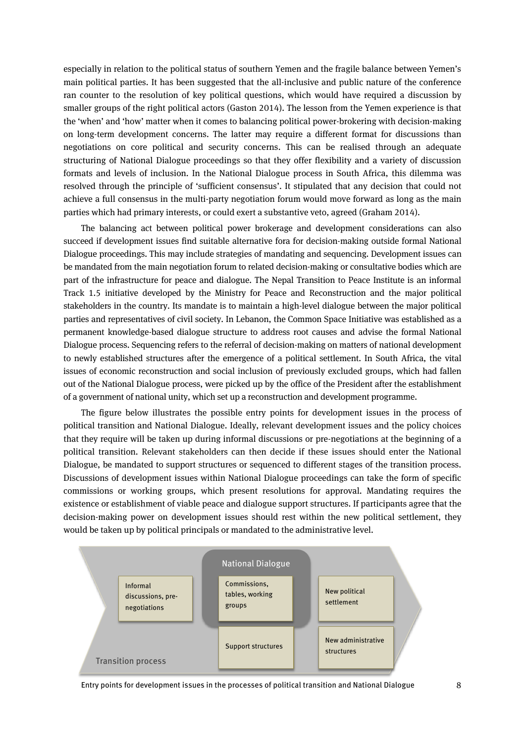especially in relation to the political status of southern Yemen and the fragile balance between Yemen's main political parties. It has been suggested that the all-inclusive and public nature of the conference ran counter to the resolution of key political questions, which would have required a discussion by smaller groups of the right political actors (Gaston 2014). The lesson from the Yemen experience is that the 'when' and 'how' matter when it comes to balancing political power-brokering with decision-making on long-term development concerns. The latter may require a different format for discussions than negotiations on core political and security concerns. This can be realised through an adequate structuring of National Dialogue proceedings so that they offer flexibility and a variety of discussion formats and levels of inclusion. In the National Dialogue process in South Africa, this dilemma was resolved through the principle of 'sufficient consensus'. It stipulated that any decision that could not achieve a full consensus in the multi-party negotiation forum would move forward as long as the main parties which had primary interests, or could exert a substantive veto, agreed (Graham 2014).

The balancing act between political power brokerage and development considerations can also succeed if development issues find suitable alternative fora for decision-making outside formal National Dialogue proceedings. This may include strategies of mandating and sequencing. Development issues can be mandated from the main negotiation forum to related decision-making or consultative bodies which are part of the infrastructure for peace and dialogue. The Nepal Transition to Peace Institute is an informal Track 1.5 initiative developed by the Ministry for Peace and Reconstruction and the major political stakeholders in the country. Its mandate is to maintain a high-level dialogue between the major political parties and representatives of civil society. In Lebanon, the Common Space Initiative was established as a permanent knowledge-based dialogue structure to address root causes and advise the formal National Dialogue process. Sequencing refers to the referral of decision-making on matters of national development to newly established structures after the emergence of a political settlement. In South Africa, the vital issues of economic reconstruction and social inclusion of previously excluded groups, which had fallen out of the National Dialogue process, were picked up by the office of the President after the establishment of a government of national unity, which set up a reconstruction and development programme.

The figure below illustrates the possible entry points for development issues in the process of political transition and National Dialogue. Ideally, relevant development issues and the policy choices that they require will be taken up during informal discussions or pre-negotiations at the beginning of a political transition. Relevant stakeholders can then decide if these issues should enter the National Dialogue, be mandated to support structures or sequenced to different stages of the transition process. Discussions of development issues within National Dialogue proceedings can take the form of specific commissions or working groups, which present resolutions for approval. Mandating requires the existence or establishment of viable peace and dialogue support structures. If participants agree that the decision-making power on development issues should rest within the new political settlement, they would be taken up by political principals or mandated to the administrative level.



Entry points for development issues in the processes of political transition and National Dialogue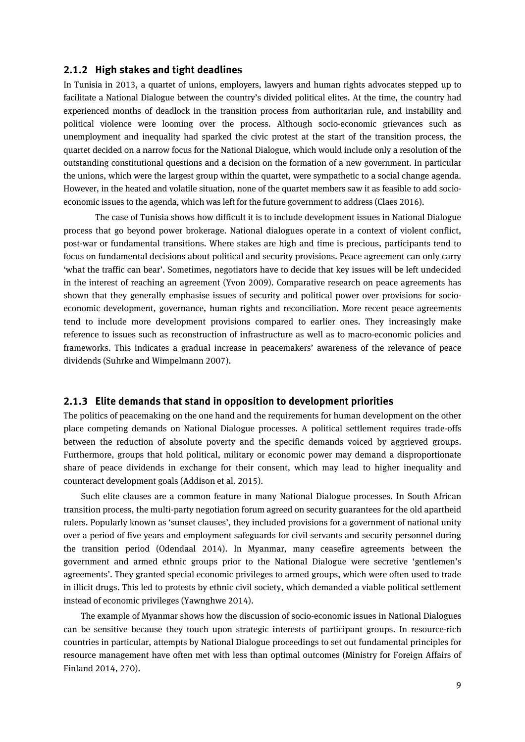### **2.1.2 High stakes and tight deadlines**

In Tunisia in 2013, a quartet of unions, employers, lawyers and human rights advocates stepped up to facilitate a National Dialogue between the country's divided political elites. At the time, the country had experienced months of deadlock in the transition process from authoritarian rule, and instability and political violence were looming over the process. Although socio-economic grievances such as unemployment and inequality had sparked the civic protest at the start of the transition process, the quartet decided on a narrow focus for the National Dialogue, which would include only a resolution of the outstanding constitutional questions and a decision on the formation of a new government. In particular the unions, which were the largest group within the quartet, were sympathetic to a social change agenda. However, in the heated and volatile situation, none of the quartet members saw it as feasible to add socioeconomic issues to the agenda, which was left for the future government to address (Claes 2016).

The case of Tunisia shows how difficult it is to include development issues in National Dialogue process that go beyond power brokerage. National dialogues operate in a context of violent conflict, post-war or fundamental transitions. Where stakes are high and time is precious, participants tend to focus on fundamental decisions about political and security provisions. Peace agreement can only carry 'what the traffic can bear'. Sometimes, negotiators have to decide that key issues will be left undecided in the interest of reaching an agreement (Yvon 2009). Comparative research on peace agreements has shown that they generally emphasise issues of security and political power over provisions for socioeconomic development, governance, human rights and reconciliation. More recent peace agreements tend to include more development provisions compared to earlier ones. They increasingly make reference to issues such as reconstruction of infrastructure as well as to macro-economic policies and frameworks. This indicates a gradual increase in peacemakers' awareness of the relevance of peace dividends (Suhrke and Wimpelmann 2007).

### **2.1.3 Elite demands that stand in opposition to development priorities**

The politics of peacemaking on the one hand and the requirements for human development on the other place competing demands on National Dialogue processes. A political settlement requires trade-offs between the reduction of absolute poverty and the specific demands voiced by aggrieved groups. Furthermore, groups that hold political, military or economic power may demand a disproportionate share of peace dividends in exchange for their consent, which may lead to higher inequality and counteract development goals (Addison et al. 2015).

Such elite clauses are a common feature in many National Dialogue processes. In South African transition process, the multi-party negotiation forum agreed on security guarantees for the old apartheid rulers. Popularly known as 'sunset clauses', they included provisions for a government of national unity over a period of five years and employment safeguards for civil servants and security personnel during the transition period (Odendaal 2014). In Myanmar, many ceasefire agreements between the government and armed ethnic groups prior to the National Dialogue were secretive 'gentlemen's agreements'. They granted special economic privileges to armed groups, which were often used to trade in illicit drugs. This led to protests by ethnic civil society, which demanded a viable political settlement instead of economic privileges (Yawnghwe 2014).

The example of Myanmar shows how the discussion of socio-economic issues in National Dialogues can be sensitive because they touch upon strategic interests of participant groups. In resource-rich countries in particular, attempts by National Dialogue proceedings to set out fundamental principles for resource management have often met with less than optimal outcomes (Ministry for Foreign Affairs of Finland 2014, 270).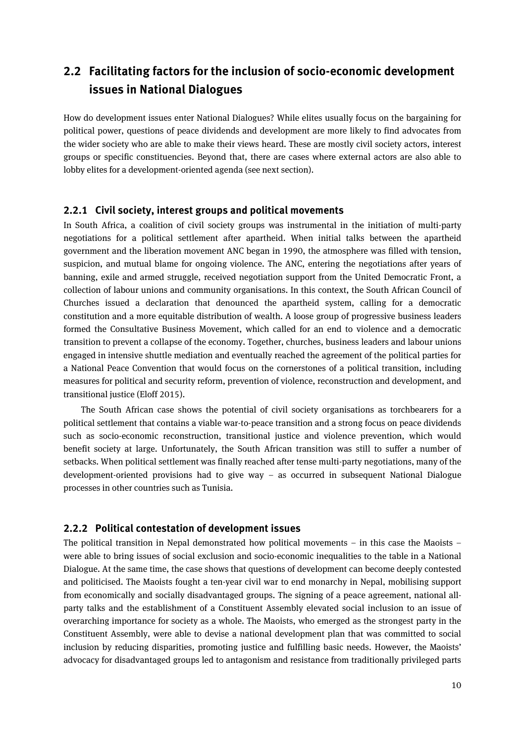### **2.2 Facilitating factors for the inclusion of socio-economic development issues in National Dialogues**

How do development issues enter National Dialogues? While elites usually focus on the bargaining for political power, questions of peace dividends and development are more likely to find advocates from the wider society who are able to make their views heard. These are mostly civil society actors, interest groups or specific constituencies. Beyond that, there are cases where external actors are also able to lobby elites for a development-oriented agenda (see next section).

### **2.2.1 Civil society, interest groups and political movements**

In South Africa, a coalition of civil society groups was instrumental in the initiation of multi-party negotiations for a political settlement after apartheid. When initial talks between the apartheid government and the liberation movement ANC began in 1990, the atmosphere was filled with tension, suspicion, and mutual blame for ongoing violence. The ANC, entering the negotiations after years of banning, exile and armed struggle, received negotiation support from the United Democratic Front, a collection of labour unions and community organisations. In this context, the South African Council of Churches issued a declaration that denounced the apartheid system, calling for a democratic constitution and a more equitable distribution of wealth. A loose group of progressive business leaders formed the Consultative Business Movement, which called for an end to violence and a democratic transition to prevent a collapse of the economy. Together, churches, business leaders and labour unions engaged in intensive shuttle mediation and eventually reached the agreement of the political parties for a National Peace Convention that would focus on the cornerstones of a political transition, including measures for political and security reform, prevention of violence, reconstruction and development, and transitional justice (Eloff 2015).

The South African case shows the potential of civil society organisations as torchbearers for a political settlement that contains a viable war-to-peace transition and a strong focus on peace dividends such as socio-economic reconstruction, transitional justice and violence prevention, which would benefit society at large. Unfortunately, the South African transition was still to suffer a number of setbacks. When political settlement was finally reached after tense multi-party negotiations, many of the development-oriented provisions had to give way – as occurred in subsequent National Dialogue processes in other countries such as Tunisia.

### **2.2.2 Political contestation of development issues**

The political transition in Nepal demonstrated how political movements – in this case the Maoists – were able to bring issues of social exclusion and socio-economic inequalities to the table in a National Dialogue. At the same time, the case shows that questions of development can become deeply contested and politicised. The Maoists fought a ten-year civil war to end monarchy in Nepal, mobilising support from economically and socially disadvantaged groups. The signing of a peace agreement, national allparty talks and the establishment of a Constituent Assembly elevated social inclusion to an issue of overarching importance for society as a whole. The Maoists, who emerged as the strongest party in the Constituent Assembly, were able to devise a national development plan that was committed to social inclusion by reducing disparities, promoting justice and fulfilling basic needs. However, the Maoists' advocacy for disadvantaged groups led to antagonism and resistance from traditionally privileged parts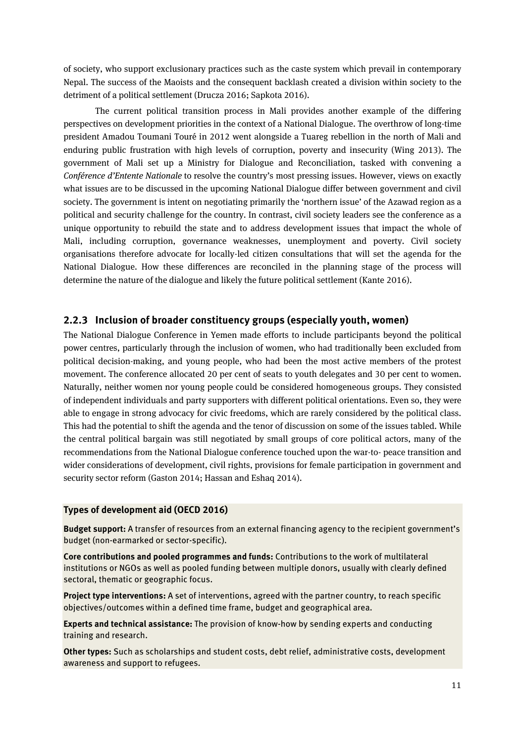of society, who support exclusionary practices such as the caste system which prevail in contemporary Nepal. The success of the Maoists and the consequent backlash created a division within society to the detriment of a political settlement (Drucza 2016; Sapkota 2016).

The current political transition process in Mali provides another example of the differing perspectives on development priorities in the context of a National Dialogue. The overthrow of long-time president Amadou Toumani Touré in 2012 went alongside a Tuareg rebellion in the north of Mali and enduring public frustration with high levels of corruption, poverty and insecurity (Wing 2013). The government of Mali set up a Ministry for Dialogue and Reconciliation, tasked with convening a *Conférence d'Entente Nationale* to resolve the country's most pressing issues. However, views on exactly what issues are to be discussed in the upcoming National Dialogue differ between government and civil society. The government is intent on negotiating primarily the 'northern issue' of the Azawad region as a political and security challenge for the country. In contrast, civil society leaders see the conference as a unique opportunity to rebuild the state and to address development issues that impact the whole of Mali, including corruption, governance weaknesses, unemployment and poverty. Civil society organisations therefore advocate for locally-led citizen consultations that will set the agenda for the National Dialogue. How these differences are reconciled in the planning stage of the process will determine the nature of the dialogue and likely the future political settlement (Kante 2016).

### **2.2.3 Inclusion of broader constituency groups (especially youth, women)**

The National Dialogue Conference in Yemen made efforts to include participants beyond the political power centres, particularly through the inclusion of women, who had traditionally been excluded from political decision-making, and young people, who had been the most active members of the protest movement. The conference allocated 20 per cent of seats to youth delegates and 30 per cent to women. Naturally, neither women nor young people could be considered homogeneous groups. They consisted of independent individuals and party supporters with different political orientations. Even so, they were able to engage in strong advocacy for civic freedoms, which are rarely considered by the political class. This had the potential to shift the agenda and the tenor of discussion on some of the issues tabled. While the central political bargain was still negotiated by small groups of core political actors, many of the recommendations from the National Dialogue conference touched upon the war-to- peace transition and wider considerations of development, civil rights, provisions for female participation in government and security sector reform (Gaston 2014; Hassan and Eshaq 2014).

#### **Types of development aid (OECD 2016)**

**Budget support:** A transfer of resources from an external financing agency to the recipient government's budget (non-earmarked or sector-specific).

**Core contributions and pooled programmes and funds:** Contributions to the work of multilateral institutions or NGOs as well as pooled funding between multiple donors, usually with clearly defined sectoral, thematic or geographic focus.

**Project type interventions:** A set of interventions, agreed with the partner country, to reach specific objectives/outcomes within a defined time frame, budget and geographical area.

**Experts and technical assistance:** The provision of know-how by sending experts and conducting training and research.

**Other types:** Such as scholarships and student costs, debt relief, administrative costs, development awareness and support to refugees.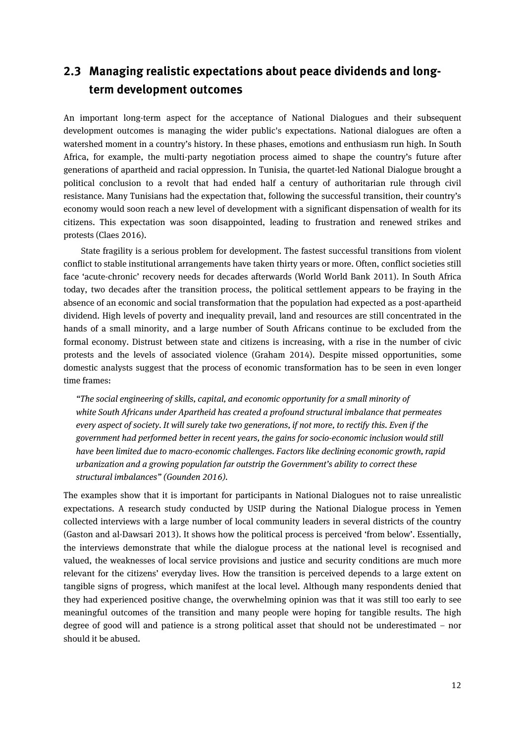### **2.3 Managing realistic expectations about peace dividends and longterm development outcomes**

An important long-term aspect for the acceptance of National Dialogues and their subsequent development outcomes is managing the wider public's expectations. National dialogues are often a watershed moment in a country's history. In these phases, emotions and enthusiasm run high. In South Africa, for example, the multi-party negotiation process aimed to shape the country's future after generations of apartheid and racial oppression. In Tunisia, the quartet-led National Dialogue brought a political conclusion to a revolt that had ended half a century of authoritarian rule through civil resistance. Many Tunisians had the expectation that, following the successful transition, their country's economy would soon reach a new level of development with a significant dispensation of wealth for its citizens. This expectation was soon disappointed, leading to frustration and renewed strikes and protests (Claes 2016).

State fragility is a serious problem for development. The fastest successful transitions from violent conflict to stable institutional arrangements have taken thirty years or more. Often, conflict societies still face 'acute-chronic' recovery needs for decades afterwards (World World Bank 2011). In South Africa today, two decades after the transition process, the political settlement appears to be fraying in the absence of an economic and social transformation that the population had expected as a post-apartheid dividend. High levels of poverty and inequality prevail, land and resources are still concentrated in the hands of a small minority, and a large number of South Africans continue to be excluded from the formal economy. Distrust between state and citizens is increasing, with a rise in the number of civic protests and the levels of associated violence (Graham 2014). Despite missed opportunities, some domestic analysts suggest that the process of economic transformation has to be seen in even longer time frames:

*"The social engineering of skills, capital, and economic opportunity for a small minority of white South Africans under Apartheid has created a profound structural imbalance that permeates every aspect of society. It will surely take two generations, if not more, to rectify this. Even if the government had performed better in recent years, the gains for socio-economic inclusion would still have been limited due to macro-economic challenges. Factors like declining economic growth, rapid urbanization and a growing population far outstrip the Government's ability to correct these structural imbalances" (Gounden 2016).* 

The examples show that it is important for participants in National Dialogues not to raise unrealistic expectations. A research study conducted by USIP during the National Dialogue process in Yemen collected interviews with a large number of local community leaders in several districts of the country (Gaston and al-Dawsari 2013). It shows how the political process is perceived 'from below'. Essentially, the interviews demonstrate that while the dialogue process at the national level is recognised and valued, the weaknesses of local service provisions and justice and security conditions are much more relevant for the citizens' everyday lives. How the transition is perceived depends to a large extent on tangible signs of progress, which manifest at the local level. Although many respondents denied that they had experienced positive change, the overwhelming opinion was that it was still too early to see meaningful outcomes of the transition and many people were hoping for tangible results. The high degree of good will and patience is a strong political asset that should not be underestimated – nor should it be abused.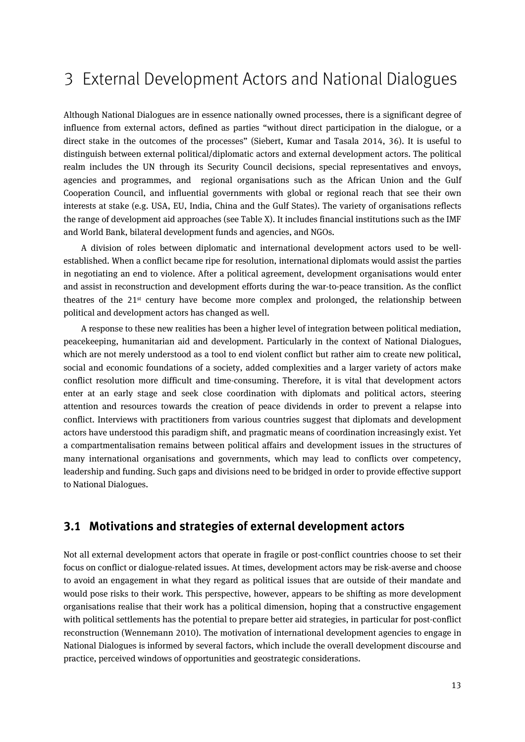# 3 External Development Actors and National Dialogues

Although National Dialogues are in essence nationally owned processes, there is a significant degree of influence from external actors, defined as parties "without direct participation in the dialogue, or a direct stake in the outcomes of the processes" (Siebert, Kumar and Tasala 2014, 36). It is useful to distinguish between external political/diplomatic actors and external development actors. The political realm includes the UN through its Security Council decisions, special representatives and envoys, agencies and programmes, and regional organisations such as the African Union and the Gulf Cooperation Council, and influential governments with global or regional reach that see their own interests at stake (e.g. USA, EU, India, China and the Gulf States). The variety of organisations reflects the range of development aid approaches (see Table X). It includes financial institutions such as the IMF and World Bank, bilateral development funds and agencies, and NGOs.

A division of roles between diplomatic and international development actors used to be wellestablished. When a conflict became ripe for resolution, international diplomats would assist the parties in negotiating an end to violence. After a political agreement, development organisations would enter and assist in reconstruction and development efforts during the war-to-peace transition. As the conflict theatres of the 21st century have become more complex and prolonged, the relationship between political and development actors has changed as well.

A response to these new realities has been a higher level of integration between political mediation, peacekeeping, humanitarian aid and development. Particularly in the context of National Dialogues, which are not merely understood as a tool to end violent conflict but rather aim to create new political, social and economic foundations of a society, added complexities and a larger variety of actors make conflict resolution more difficult and time-consuming. Therefore, it is vital that development actors enter at an early stage and seek close coordination with diplomats and political actors, steering attention and resources towards the creation of peace dividends in order to prevent a relapse into conflict. Interviews with practitioners from various countries suggest that diplomats and development actors have understood this paradigm shift, and pragmatic means of coordination increasingly exist. Yet a compartmentalisation remains between political affairs and development issues in the structures of many international organisations and governments, which may lead to conflicts over competency, leadership and funding. Such gaps and divisions need to be bridged in order to provide effective support to National Dialogues.

### **3.1 Motivations and strategies of external development actors**

Not all external development actors that operate in fragile or post-conflict countries choose to set their focus on conflict or dialogue-related issues. At times, development actors may be risk-averse and choose to avoid an engagement in what they regard as political issues that are outside of their mandate and would pose risks to their work. This perspective, however, appears to be shifting as more development organisations realise that their work has a political dimension, hoping that a constructive engagement with political settlements has the potential to prepare better aid strategies, in particular for post-conflict reconstruction (Wennemann 2010). The motivation of international development agencies to engage in National Dialogues is informed by several factors, which include the overall development discourse and practice, perceived windows of opportunities and geostrategic considerations.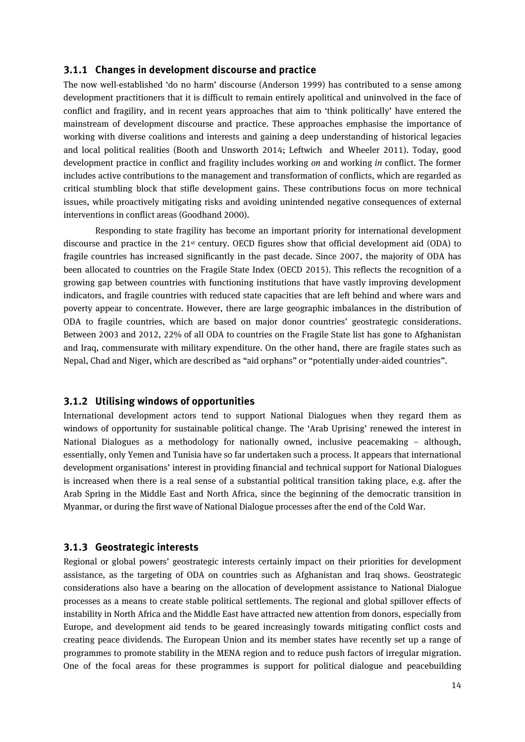### **3.1.1 Changes in development discourse and practice**

The now well-established 'do no harm' discourse (Anderson 1999) has contributed to a sense among development practitioners that it is difficult to remain entirely apolitical and uninvolved in the face of conflict and fragility, and in recent years approaches that aim to 'think politically' have entered the mainstream of development discourse and practice. These approaches emphasise the importance of working with diverse coalitions and interests and gaining a deep understanding of historical legacies and local political realities (Booth and Unsworth 2014; Leftwich and Wheeler 2011). Today, good development practice in conflict and fragility includes working *on* and working *in* conflict. The former includes active contributions to the management and transformation of conflicts, which are regarded as critical stumbling block that stifle development gains. These contributions focus on more technical issues, while proactively mitigating risks and avoiding unintended negative consequences of external interventions in conflict areas (Goodhand 2000).

Responding to state fragility has become an important priority for international development discourse and practice in the 21st century. OECD figures show that official development aid (ODA) to fragile countries has increased significantly in the past decade. Since 2007, the majority of ODA has been allocated to countries on the Fragile State Index (OECD 2015). This reflects the recognition of a growing gap between countries with functioning institutions that have vastly improving development indicators, and fragile countries with reduced state capacities that are left behind and where wars and poverty appear to concentrate. However, there are large geographic imbalances in the distribution of ODA to fragile countries, which are based on major donor countries' geostrategic considerations. Between 2003 and 2012, 22% of all ODA to countries on the Fragile State list has gone to Afghanistan and Iraq, commensurate with military expenditure. On the other hand, there are fragile states such as Nepal, Chad and Niger, which are described as "aid orphans" or "potentially under-aided countries".

### **3.1.2 Utilising windows of opportunities**

International development actors tend to support National Dialogues when they regard them as windows of opportunity for sustainable political change. The 'Arab Uprising' renewed the interest in National Dialogues as a methodology for nationally owned, inclusive peacemaking – although, essentially, only Yemen and Tunisia have so far undertaken such a process. It appears that international development organisations' interest in providing financial and technical support for National Dialogues is increased when there is a real sense of a substantial political transition taking place, e.g. after the Arab Spring in the Middle East and North Africa, since the beginning of the democratic transition in Myanmar, or during the first wave of National Dialogue processes after the end of the Cold War.

### **3.1.3 Geostrategic interests**

Regional or global powers' geostrategic interests certainly impact on their priorities for development assistance, as the targeting of ODA on countries such as Afghanistan and Iraq shows. Geostrategic considerations also have a bearing on the allocation of development assistance to National Dialogue processes as a means to create stable political settlements. The regional and global spillover effects of instability in North Africa and the Middle East have attracted new attention from donors, especially from Europe, and development aid tends to be geared increasingly towards mitigating conflict costs and creating peace dividends. The European Union and its member states have recently set up a range of programmes to promote stability in the MENA region and to reduce push factors of irregular migration. One of the focal areas for these programmes is support for political dialogue and peacebuilding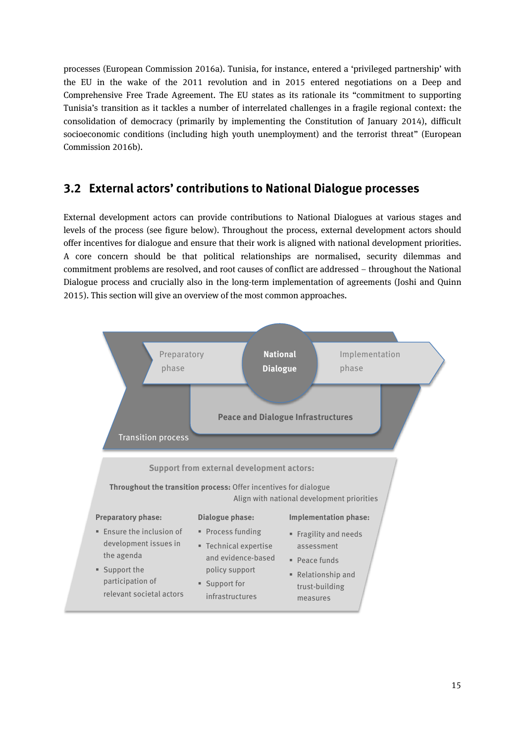processes (European Commission 2016a). Tunisia, for instance, entered a 'privileged partnership' with the EU in the wake of the 2011 revolution and in 2015 entered negotiations on a Deep and Comprehensive Free Trade Agreement. The EU states as its rationale its "commitment to supporting Tunisia's transition as it tackles a number of interrelated challenges in a fragile regional context: the consolidation of democracy (primarily by implementing the Constitution of January 2014), difficult socioeconomic conditions (including high youth unemployment) and the terrorist threat" (European Commission 2016b).

### **3.2 External actors' contributions to National Dialogue processes**

External development actors can provide contributions to National Dialogues at various stages and levels of the process (see figure below). Throughout the process, external development actors should offer incentives for dialogue and ensure that their work is aligned with national development priorities. A core concern should be that political relationships are normalised, security dilemmas and commitment problems are resolved, and root causes of conflict are addressed – throughout the National Dialogue process and crucially also in the long-term implementation of agreements (Joshi and Quinn 2015). This section will give an overview of the most common approaches.

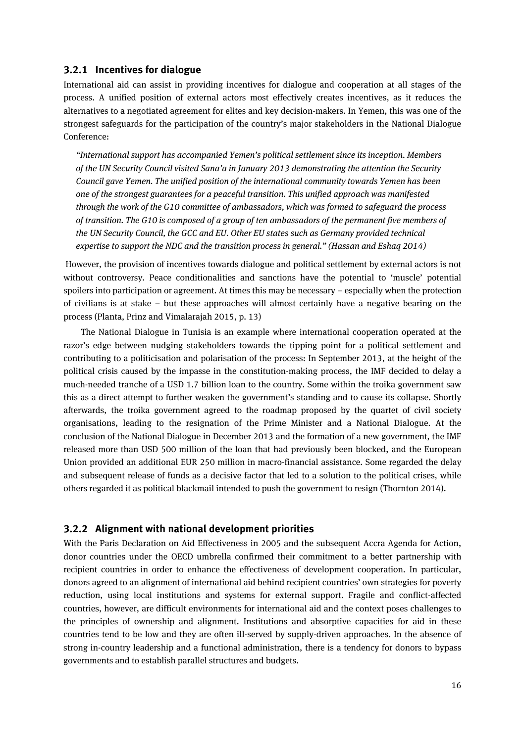### **3.2.1 Incentives for dialogue**

International aid can assist in providing incentives for dialogue and cooperation at all stages of the process. A unified position of external actors most effectively creates incentives, as it reduces the alternatives to a negotiated agreement for elites and key decision-makers. In Yemen, this was one of the strongest safeguards for the participation of the country's major stakeholders in the National Dialogue Conference:

*"International support has accompanied Yemen's political settlement since its inception. Members of the UN Security Council visited Sana'a in January 2013 demonstrating the attention the Security Council gave Yemen. The unified position of the international community towards Yemen has been one of the strongest guarantees for a peaceful transition. This unified approach was manifested through the work of the G10 committee of ambassadors, which was formed to safeguard the process of transition. The G10 is composed of a group of ten ambassadors of the permanent five members of the UN Security Council, the GCC and EU. Other EU states such as Germany provided technical expertise to support the NDC and the transition process in general." (Hassan and Eshaq 2014)*

However, the provision of incentives towards dialogue and political settlement by external actors is not without controversy. Peace conditionalities and sanctions have the potential to 'muscle' potential spoilers into participation or agreement. At times this may be necessary – especially when the protection of civilians is at stake – but these approaches will almost certainly have a negative bearing on the process (Planta, Prinz and Vimalarajah 2015, p. 13)

The National Dialogue in Tunisia is an example where international cooperation operated at the razor's edge between nudging stakeholders towards the tipping point for a political settlement and contributing to a politicisation and polarisation of the process: In September 2013, at the height of the political crisis caused by the impasse in the constitution-making process, the IMF decided to delay a much-needed tranche of a USD 1.7 billion loan to the country. Some within the troika government saw this as a direct attempt to further weaken the government's standing and to cause its collapse. Shortly afterwards, the troika government agreed to the roadmap proposed by the quartet of civil society organisations, leading to the resignation of the Prime Minister and a National Dialogue. At the conclusion of the National Dialogue in December 2013 and the formation of a new government, the IMF released more than USD 500 million of the loan that had previously been blocked, and the European Union provided an additional EUR 250 million in macro-financial assistance. Some regarded the delay and subsequent release of funds as a decisive factor that led to a solution to the political crises, while others regarded it as political blackmail intended to push the government to resign (Thornton 2014).

### **3.2.2 Alignment with national development priorities**

With the Paris Declaration on Aid Effectiveness in 2005 and the subsequent Accra Agenda for Action, donor countries under the OECD umbrella confirmed their commitment to a better partnership with recipient countries in order to enhance the effectiveness of development cooperation. In particular, donors agreed to an alignment of international aid behind recipient countries' own strategies for poverty reduction, using local institutions and systems for external support. Fragile and conflict-affected countries, however, are difficult environments for international aid and the context poses challenges to the principles of ownership and alignment. Institutions and absorptive capacities for aid in these countries tend to be low and they are often ill-served by supply-driven approaches. In the absence of strong in-country leadership and a functional administration, there is a tendency for donors to bypass governments and to establish parallel structures and budgets.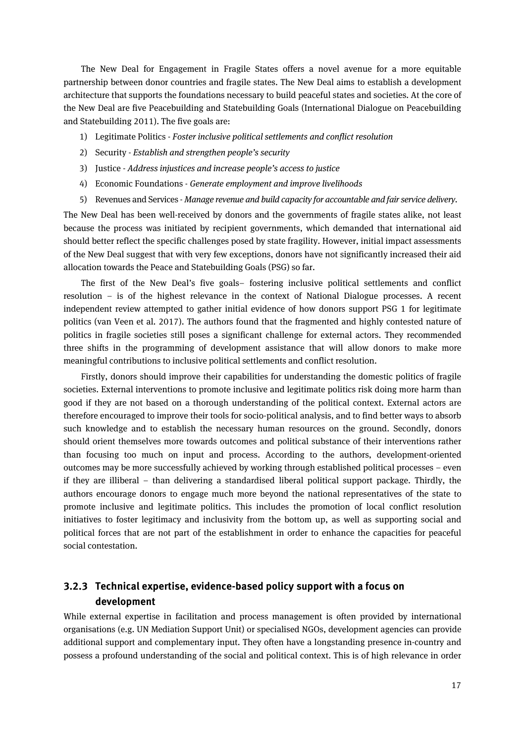The New Deal for Engagement in Fragile States offers a novel avenue for a more equitable partnership between donor countries and fragile states. The New Deal aims to establish a development architecture that supports the foundations necessary to build peaceful states and societies. At the core of the New Deal are five Peacebuilding and Statebuilding Goals (International Dialogue on Peacebuilding and Statebuilding 2011). The five goals are:

- 1) Legitimate Politics *Foster inclusive political settlements and conflict resolution*
- 2) Security *Establish and strengthen people's security*
- 3) Justice *Address injustices and increase people's access to justice*
- 4) Economic Foundations *Generate employment and improve livelihoods*
- 5) Revenues and Services *Manage revenue and build capacity for accountable and fair service delivery.*

The New Deal has been well-received by donors and the governments of fragile states alike, not least because the process was initiated by recipient governments, which demanded that international aid should better reflect the specific challenges posed by state fragility. However, initial impact assessments of the New Deal suggest that with very few exceptions, donors have not significantly increased their aid allocation towards the Peace and Statebuilding Goals (PSG) so far.

The first of the New Deal's five goals– fostering inclusive political settlements and conflict resolution – is of the highest relevance in the context of National Dialogue processes. A recent independent review attempted to gather initial evidence of how donors support PSG 1 for legitimate politics (van Veen et al. 2017). The authors found that the fragmented and highly contested nature of politics in fragile societies still poses a significant challenge for external actors. They recommended three shifts in the programming of development assistance that will allow donors to make more meaningful contributions to inclusive political settlements and conflict resolution.

Firstly, donors should improve their capabilities for understanding the domestic politics of fragile societies. External interventions to promote inclusive and legitimate politics risk doing more harm than good if they are not based on a thorough understanding of the political context. External actors are therefore encouraged to improve their tools for socio-political analysis, and to find better ways to absorb such knowledge and to establish the necessary human resources on the ground. Secondly, donors should orient themselves more towards outcomes and political substance of their interventions rather than focusing too much on input and process. According to the authors, development-oriented outcomes may be more successfully achieved by working through established political processes – even if they are illiberal – than delivering a standardised liberal political support package. Thirdly, the authors encourage donors to engage much more beyond the national representatives of the state to promote inclusive and legitimate politics. This includes the promotion of local conflict resolution initiatives to foster legitimacy and inclusivity from the bottom up, as well as supporting social and political forces that are not part of the establishment in order to enhance the capacities for peaceful social contestation.

### **3.2.3 Technical expertise, evidence-based policy support with a focus on development**

While external expertise in facilitation and process management is often provided by international organisations (e.g. UN Mediation Support Unit) or specialised NGOs, development agencies can provide additional support and complementary input. They often have a longstanding presence in-country and possess a profound understanding of the social and political context. This is of high relevance in order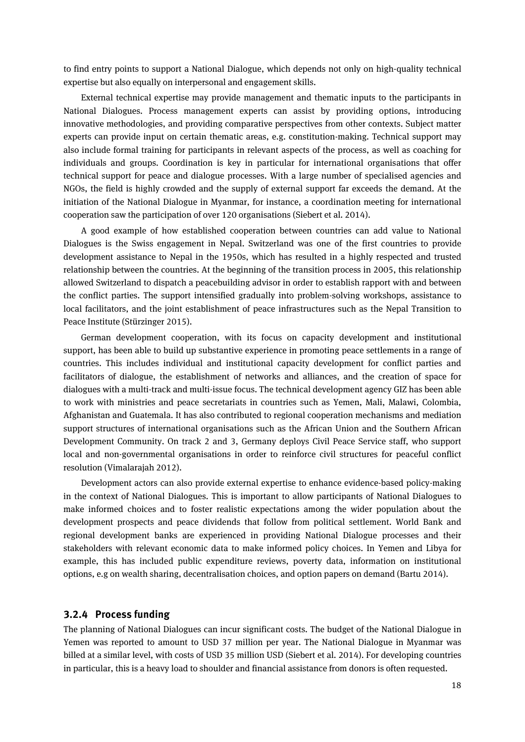to find entry points to support a National Dialogue, which depends not only on high-quality technical expertise but also equally on interpersonal and engagement skills.

External technical expertise may provide management and thematic inputs to the participants in National Dialogues. Process management experts can assist by providing options, introducing innovative methodologies, and providing comparative perspectives from other contexts. Subject matter experts can provide input on certain thematic areas, e.g. constitution-making. Technical support may also include formal training for participants in relevant aspects of the process, as well as coaching for individuals and groups. Coordination is key in particular for international organisations that offer technical support for peace and dialogue processes. With a large number of specialised agencies and NGOs, the field is highly crowded and the supply of external support far exceeds the demand. At the initiation of the National Dialogue in Myanmar, for instance, a coordination meeting for international cooperation saw the participation of over 120 organisations (Siebert et al. 2014).

A good example of how established cooperation between countries can add value to National Dialogues is the Swiss engagement in Nepal. Switzerland was one of the first countries to provide development assistance to Nepal in the 1950s, which has resulted in a highly respected and trusted relationship between the countries. At the beginning of the transition process in 2005, this relationship allowed Switzerland to dispatch a peacebuilding advisor in order to establish rapport with and between the conflict parties. The support intensified gradually into problem-solving workshops, assistance to local facilitators, and the joint establishment of peace infrastructures such as the Nepal Transition to Peace Institute (Stürzinger 2015).

German development cooperation, with its focus on capacity development and institutional support, has been able to build up substantive experience in promoting peace settlements in a range of countries. This includes individual and institutional capacity development for conflict parties and facilitators of dialogue, the establishment of networks and alliances, and the creation of space for dialogues with a multi-track and multi-issue focus. The technical development agency GIZ has been able to work with ministries and peace secretariats in countries such as Yemen, Mali, Malawi, Colombia, Afghanistan and Guatemala. It has also contributed to regional cooperation mechanisms and mediation support structures of international organisations such as the African Union and the Southern African Development Community. On track 2 and 3, Germany deploys Civil Peace Service staff, who support local and non-governmental organisations in order to reinforce civil structures for peaceful conflict resolution (Vimalarajah 2012).

Development actors can also provide external expertise to enhance evidence-based policy-making in the context of National Dialogues. This is important to allow participants of National Dialogues to make informed choices and to foster realistic expectations among the wider population about the development prospects and peace dividends that follow from political settlement. World Bank and regional development banks are experienced in providing National Dialogue processes and their stakeholders with relevant economic data to make informed policy choices. In Yemen and Libya for example, this has included public expenditure reviews, poverty data, information on institutional options, e.g on wealth sharing, decentralisation choices, and option papers on demand (Bartu 2014).

### **3.2.4 Process funding**

The planning of National Dialogues can incur significant costs. The budget of the National Dialogue in Yemen was reported to amount to USD 37 million per year. The National Dialogue in Myanmar was billed at a similar level, with costs of USD 35 million USD (Siebert et al. 2014). For developing countries in particular, this is a heavy load to shoulder and financial assistance from donors is often requested.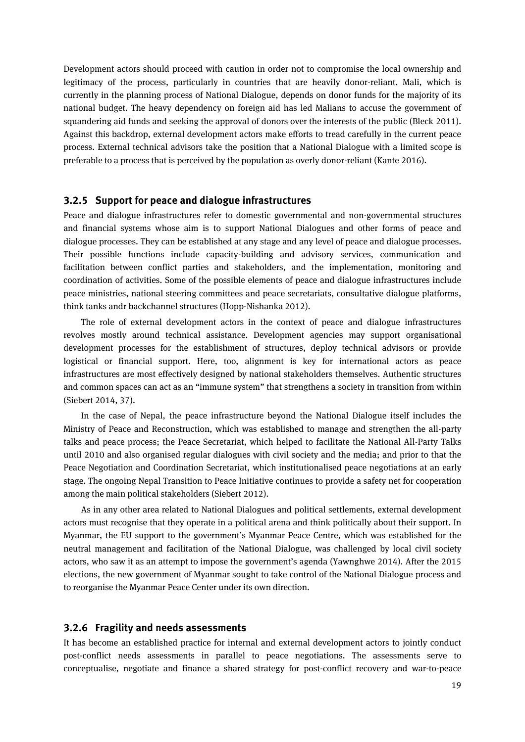Development actors should proceed with caution in order not to compromise the local ownership and legitimacy of the process, particularly in countries that are heavily donor-reliant. Mali, which is currently in the planning process of National Dialogue, depends on donor funds for the majority of its national budget. The heavy dependency on foreign aid has led Malians to accuse the government of squandering aid funds and seeking the approval of donors over the interests of the public (Bleck 2011). Against this backdrop, external development actors make efforts to tread carefully in the current peace process. External technical advisors take the position that a National Dialogue with a limited scope is preferable to a process that is perceived by the population as overly donor-reliant (Kante 2016).

#### **3.2.5 Support for peace and dialogue infrastructures**

Peace and dialogue infrastructures refer to domestic governmental and non-governmental structures and financial systems whose aim is to support National Dialogues and other forms of peace and dialogue processes. They can be established at any stage and any level of peace and dialogue processes. Their possible functions include capacity-building and advisory services, communication and facilitation between conflict parties and stakeholders, and the implementation, monitoring and coordination of activities. Some of the possible elements of peace and dialogue infrastructures include peace ministries, national steering committees and peace secretariats, consultative dialogue platforms, think tanks andr backchannel structures (Hopp-Nishanka 2012).

The role of external development actors in the context of peace and dialogue infrastructures revolves mostly around technical assistance. Development agencies may support organisational development processes for the establishment of structures, deploy technical advisors or provide logistical or financial support. Here, too, alignment is key for international actors as peace infrastructures are most effectively designed by national stakeholders themselves. Authentic structures and common spaces can act as an "immune system" that strengthens a society in transition from within (Siebert 2014, 37).

In the case of Nepal, the peace infrastructure beyond the National Dialogue itself includes the Ministry of Peace and Reconstruction, which was established to manage and strengthen the all-party talks and peace process; the Peace Secretariat, which helped to facilitate the National All-Party Talks until 2010 and also organised regular dialogues with civil society and the media; and prior to that the Peace Negotiation and Coordination Secretariat, which institutionalised peace negotiations at an early stage. The ongoing Nepal Transition to Peace Initiative continues to provide a safety net for cooperation among the main political stakeholders (Siebert 2012).

As in any other area related to National Dialogues and political settlements, external development actors must recognise that they operate in a political arena and think politically about their support. In Myanmar, the EU support to the government's Myanmar Peace Centre, which was established for the neutral management and facilitation of the National Dialogue, was challenged by local civil society actors, who saw it as an attempt to impose the government's agenda (Yawnghwe 2014). After the 2015 elections, the new government of Myanmar sought to take control of the National Dialogue process and to reorganise the Myanmar Peace Center under its own direction.

#### **3.2.6 Fragility and needs assessments**

It has become an established practice for internal and external development actors to jointly conduct post-conflict needs assessments in parallel to peace negotiations. The assessments serve to conceptualise, negotiate and finance a shared strategy for post-conflict recovery and war-to-peace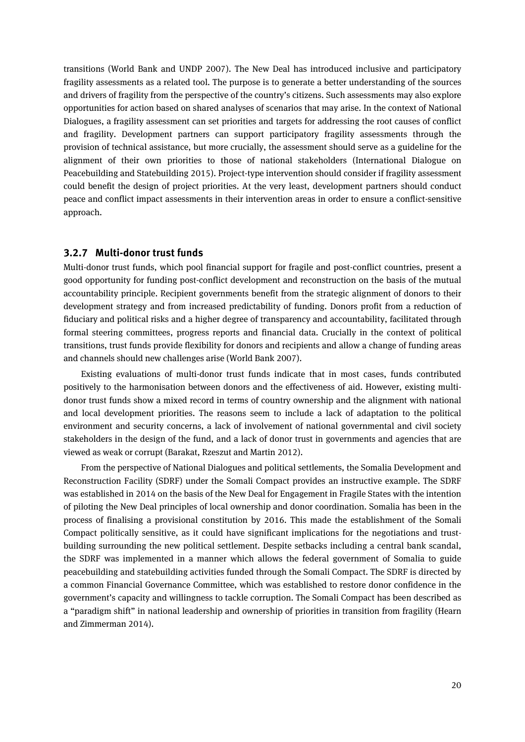transitions (World Bank and UNDP 2007). The New Deal has introduced inclusive and participatory fragility assessments as a related tool. The purpose is to generate a better understanding of the sources and drivers of fragility from the perspective of the country's citizens. Such assessments may also explore opportunities for action based on shared analyses of scenarios that may arise. In the context of National Dialogues, a fragility assessment can set priorities and targets for addressing the root causes of conflict and fragility. Development partners can support participatory fragility assessments through the provision of technical assistance, but more crucially, the assessment should serve as a guideline for the alignment of their own priorities to those of national stakeholders (International Dialogue on Peacebuilding and Statebuilding 2015). Project-type intervention should consider if fragility assessment could benefit the design of project priorities. At the very least, development partners should conduct peace and conflict impact assessments in their intervention areas in order to ensure a conflict-sensitive approach.

#### **3.2.7 Multi-donor trust funds**

Multi-donor trust funds, which pool financial support for fragile and post-conflict countries, present a good opportunity for funding post-conflict development and reconstruction on the basis of the mutual accountability principle. Recipient governments benefit from the strategic alignment of donors to their development strategy and from increased predictability of funding. Donors profit from a reduction of fiduciary and political risks and a higher degree of transparency and accountability, facilitated through formal steering committees, progress reports and financial data. Crucially in the context of political transitions, trust funds provide flexibility for donors and recipients and allow a change of funding areas and channels should new challenges arise (World Bank 2007).

Existing evaluations of multi-donor trust funds indicate that in most cases, funds contributed positively to the harmonisation between donors and the effectiveness of aid. However, existing multidonor trust funds show a mixed record in terms of country ownership and the alignment with national and local development priorities. The reasons seem to include a lack of adaptation to the political environment and security concerns, a lack of involvement of national governmental and civil society stakeholders in the design of the fund, and a lack of donor trust in governments and agencies that are viewed as weak or corrupt (Barakat, Rzeszut and Martin 2012).

From the perspective of National Dialogues and political settlements, the Somalia Development and Reconstruction Facility (SDRF) under the Somali Compact provides an instructive example. The SDRF was established in 2014 on the basis of the New Deal for Engagement in Fragile States with the intention of piloting the New Deal principles of local ownership and donor coordination. Somalia has been in the process of finalising a provisional constitution by 2016. This made the establishment of the Somali Compact politically sensitive, as it could have significant implications for the negotiations and trustbuilding surrounding the new political settlement. Despite setbacks including a central bank scandal, the SDRF was implemented in a manner which allows the federal government of Somalia to guide peacebuilding and statebuilding activities funded through the Somali Compact. The SDRF is directed by a common Financial Governance Committee, which was established to restore donor confidence in the government's capacity and willingness to tackle corruption. The Somali Compact has been described as a "paradigm shift" in national leadership and ownership of priorities in transition from fragility (Hearn and Zimmerman 2014).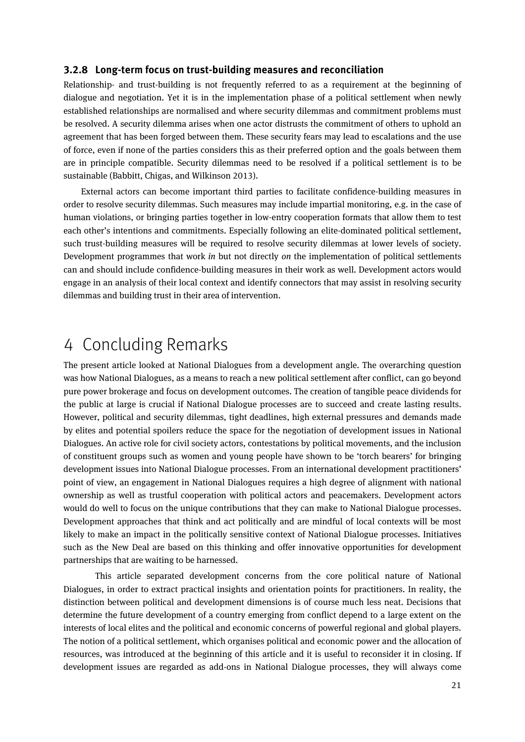### **3.2.8 Long-term focus on trust-building measures and reconciliation**

Relationship- and trust-building is not frequently referred to as a requirement at the beginning of dialogue and negotiation. Yet it is in the implementation phase of a political settlement when newly established relationships are normalised and where security dilemmas and commitment problems must be resolved. A security dilemma arises when one actor distrusts the commitment of others to uphold an agreement that has been forged between them. These security fears may lead to escalations and the use of force, even if none of the parties considers this as their preferred option and the goals between them are in principle compatible. Security dilemmas need to be resolved if a political settlement is to be sustainable (Babbitt, Chigas, and Wilkinson 2013).

External actors can become important third parties to facilitate confidence-building measures in order to resolve security dilemmas. Such measures may include impartial monitoring, e.g. in the case of human violations, or bringing parties together in low-entry cooperation formats that allow them to test each other's intentions and commitments. Especially following an elite-dominated political settlement, such trust-building measures will be required to resolve security dilemmas at lower levels of society. Development programmes that work *in* but not directly *on* the implementation of political settlements can and should include confidence-building measures in their work as well. Development actors would engage in an analysis of their local context and identify connectors that may assist in resolving security dilemmas and building trust in their area of intervention.

# 4 Concluding Remarks

The present article looked at National Dialogues from a development angle. The overarching question was how National Dialogues, as a means to reach a new political settlement after conflict, can go beyond pure power brokerage and focus on development outcomes. The creation of tangible peace dividends for the public at large is crucial if National Dialogue processes are to succeed and create lasting results. However, political and security dilemmas, tight deadlines, high external pressures and demands made by elites and potential spoilers reduce the space for the negotiation of development issues in National Dialogues. An active role for civil society actors, contestations by political movements, and the inclusion of constituent groups such as women and young people have shown to be 'torch bearers' for bringing development issues into National Dialogue processes. From an international development practitioners' point of view, an engagement in National Dialogues requires a high degree of alignment with national ownership as well as trustful cooperation with political actors and peacemakers. Development actors would do well to focus on the unique contributions that they can make to National Dialogue processes. Development approaches that think and act politically and are mindful of local contexts will be most likely to make an impact in the politically sensitive context of National Dialogue processes. Initiatives such as the New Deal are based on this thinking and offer innovative opportunities for development partnerships that are waiting to be harnessed.

This article separated development concerns from the core political nature of National Dialogues, in order to extract practical insights and orientation points for practitioners. In reality, the distinction between political and development dimensions is of course much less neat. Decisions that determine the future development of a country emerging from conflict depend to a large extent on the interests of local elites and the political and economic concerns of powerful regional and global players. The notion of a political settlement, which organises political and economic power and the allocation of resources, was introduced at the beginning of this article and it is useful to reconsider it in closing. If development issues are regarded as add-ons in National Dialogue processes, they will always come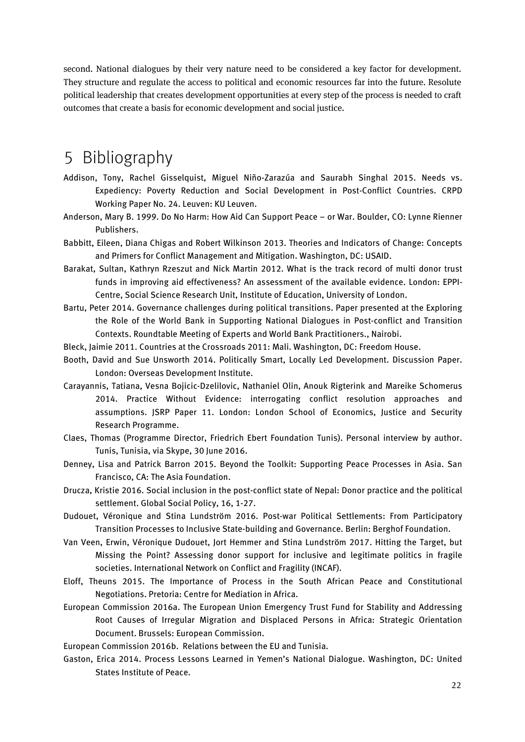second. National dialogues by their very nature need to be considered a key factor for development. They structure and regulate the access to political and economic resources far into the future. Resolute political leadership that creates development opportunities at every step of the process is needed to craft outcomes that create a basis for economic development and social justice.

# 5 Bibliography

- Addison, Tony, Rachel Gisselquist, Miguel Niño-Zarazúa and Saurabh Singhal 2015. Needs vs. Expediency: Poverty Reduction and Social Development in Post-Conflict Countries. CRPD Working Paper No. 24. Leuven: KU Leuven.
- Anderson, Mary B. 1999. Do No Harm: How Aid Can Support Peace or War. Boulder, CO: Lynne Rienner Publishers.
- Babbitt, Eileen, Diana Chigas and Robert Wilkinson 2013. Theories and Indicators of Change: Concepts and Primers for Conflict Management and Mitigation. Washington, DC: USAID.
- Barakat, Sultan, Kathryn Rzeszut and Nick Martin 2012. What is the track record of multi donor trust funds in improving aid effectiveness? An assessment of the available evidence. London: EPPI-Centre, Social Science Research Unit, Institute of Education, University of London.
- Bartu, Peter 2014. Governance challenges during political transitions. Paper presented at the Exploring the Role of the World Bank in Supporting National Dialogues in Post-conflict and Transition Contexts. Roundtable Meeting of Experts and World Bank Practitioners., Nairobi.
- Bleck, Jaimie 2011. Countries at the Crossroads 2011: Mali. Washington, DC: Freedom House.
- Booth, David and Sue Unsworth 2014. Politically Smart, Locally Led Development. Discussion Paper. London: Overseas Development Institute.
- Carayannis, Tatiana, Vesna Bojicic-Dzelilovic, Nathaniel Olin, Anouk Rigterink and Mareike Schomerus 2014. Practice Without Evidence: interrogating conflict resolution approaches and assumptions. JSRP Paper 11. London: London School of Economics, Justice and Security Research Programme.
- Claes, Thomas (Programme Director, Friedrich Ebert Foundation Tunis). Personal interview by author. Tunis, Tunisia, via Skype, 30 June 2016.
- Denney, Lisa and Patrick Barron 2015. Beyond the Toolkit: Supporting Peace Processes in Asia. San Francisco, CA: The Asia Foundation.
- Drucza, Kristie 2016. Social inclusion in the post-conflict state of Nepal: Donor practice and the political settlement. Global Social Policy, 16, 1-27.
- Dudouet, Véronique and Stina Lundström 2016. Post-war Political Settlements: From Participatory Transition Processes to Inclusive State-building and Governance. Berlin: Berghof Foundation.
- Van Veen, Erwin, Véronique Dudouet, Jort Hemmer and Stina Lundström 2017. Hitting the Target, but Missing the Point? Assessing donor support for inclusive and legitimate politics in fragile societies. International Network on Conflict and Fragility (INCAF).
- Eloff, Theuns 2015. The Importance of Process in the South African Peace and Constitutional Negotiations. Pretoria: Centre for Mediation in Africa.
- European Commission 2016a. The European Union Emergency Trust Fund for Stability and Addressing Root Causes of Irregular Migration and Displaced Persons in Africa: Strategic Orientation Document. Brussels: European Commission.

European Commission 2016b. Relations between the EU and Tunisia.

Gaston, Erica 2014. Process Lessons Learned in Yemen's National Dialogue. Washington, DC: United States Institute of Peace.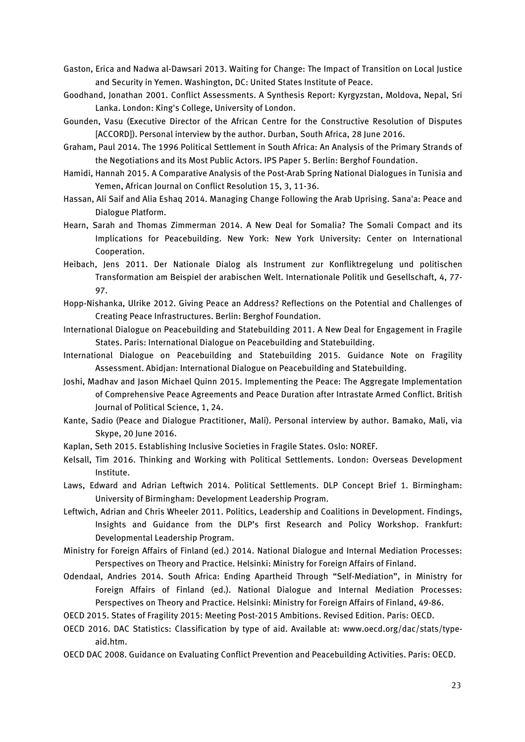- Gaston, Erica and Nadwa al-Dawsari 2013. Waiting for Change: The Impact of Transition on Local Justice and Security in Yemen. Washington, DC: United States Institute of Peace.
- Goodhand, Jonathan 2001. Conflict Assessments. A Synthesis Report: Kyrgyzstan, Moldova, Nepal, Sri Lanka. London: King's College, University of London.
- Gounden, Vasu (Executive Director of the African Centre for the Constructive Resolution of Disputes [ACCORD]). Personal interview by the author. Durban, South Africa, 28 June 2016.
- Graham, Paul 2014. The 1996 Political Settlement in South Africa: An Analysis of the Primary Strands of the Negotiations and its Most Public Actors. IPS Paper 5. Berlin: Berghof Foundation.
- Hamidi, Hannah 2015. A Comparative Analysis of the Post-Arab Spring National Dialogues in Tunisia and Yemen, African Journal on Conflict Resolution 15, 3, 11-36.
- Hassan, Ali Saif and Alia Eshaq 2014. Managing Change Following the Arab Uprising. Sana'a: Peace and Dialogue Platform.
- Hearn, Sarah and Thomas Zimmerman 2014. A New Deal for Somalia? The Somali Compact and its Implications for Peacebuilding. New York: New York University: Center on International Cooperation.
- Heibach, Jens 2011. Der Nationale Dialog als Instrument zur Konfliktregelung und politischen Transformation am Beispiel der arabischen Welt. Internationale Politik und Gesellschaft, 4, 77- 97.
- Hopp-Nishanka, Ulrike 2012. Giving Peace an Address? Reflections on the Potential and Challenges of Creating Peace Infrastructures. Berlin: Berghof Foundation.
- International Dialogue on Peacebuilding and Statebuilding 2011. A New Deal for Engagement in Fragile States. Paris: International Dialogue on Peacebuilding and Statebuilding.
- International Dialogue on Peacebuilding and Statebuilding 2015. Guidance Note on Fragility Assessment. Abidjan: International Dialogue on Peacebuilding and Statebuilding.
- Joshi, Madhav and Jason Michael Quinn 2015. Implementing the Peace: The Aggregate Implementation of Comprehensive Peace Agreements and Peace Duration after Intrastate Armed Conflict. British Journal of Political Science, 1, 24.
- Kante, Sadio (Peace and Dialogue Practitioner, Mali). Personal interview by author. Bamako, Mali, via Skype, 20 June 2016.
- Kaplan, Seth 2015. Establishing Inclusive Societies in Fragile States. Oslo: NOREF.
- Kelsall, Tim 2016. Thinking and Working with Political Settlements. London: Overseas Development Institute.
- Laws, Edward and Adrian Leftwich 2014. Political Settlements. DLP Concept Brief 1. Birmingham: University of Birmingham: Development Leadership Program.
- Leftwich, Adrian and Chris Wheeler 2011. Politics, Leadership and Coalitions in Development. Findings, Insights and Guidance from the DLP's first Research and Policy Workshop. Frankfurt: Developmental Leadership Program.
- Ministry for Foreign Affairs of Finland (ed.) 2014. National Dialogue and Internal Mediation Processes: Perspectives on Theory and Practice. Helsinki: Ministry for Foreign Affairs of Finland.
- Odendaal, Andries 2014. South Africa: Ending Apartheid Through "Self-Mediation", in Ministry for Foreign Affairs of Finland (ed.). National Dialogue and Internal Mediation Processes: Perspectives on Theory and Practice. Helsinki: Ministry for Foreign Affairs of Finland, 49-86.
- OECD 2015. States of Fragility 2015: Meeting Post-2015 Ambitions. Revised Edition. Paris: OECD.
- OECD 2016. DAC Statistics: Classification by type of aid. Available at: www.oecd.org/dac/stats/typeaid.htm.
- OECD DAC 2008. Guidance on Evaluating Conflict Prevention and Peacebuilding Activities. Paris: OECD.